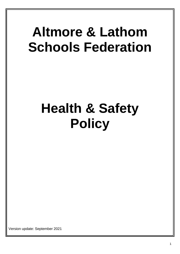## **Altmore & Lathom Schools Federation**

# **Health & Safety Policy**

Version update: September 2021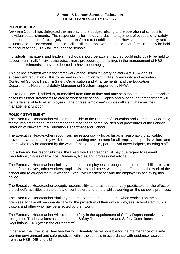#### **Altmore & Lathom Schools Federation HEALTH AND SAFETY POLICY**

#### **INTRODUCTION**

Newham Council has delegated the majority of the budget relating to the operation of schools to individual establishments. The responsibility for the day-to-day management of occupational safety and health has, therefore, largely been transferred to establishments. However, in community and voluntary-controlled schools, the Council is still the employer, and could, therefore, ultimately be held to account for any H&S failures in these schools.

Individuals, managers and leaders in schools should be aware that they could individually be held to account (criminally/in civil action/disciplinary procedures), for failings in the management of H&S in their establishments if they are deemed to have been negligent.

This policy is written within the framework of the Health & Safety at Work Act 1974 and its subsequent regulations. It is to be read in conjunction with LBN's Community and Voluntary Controlled Schools Health & Safety Organisation and Arrangements, and the Education Department's Health and Safety Management System, supported by NPW.

It is to be reviewed, added to, or modified from time to time and may be supplemented in appropriate cases by further statements related to work of the school. Copies and subsequent amendments will be made available to all employees. The phrase 'employee' includes all staff whatever their management function.

#### **POLICY STATEMENT**

The Executive Headteacher will be responsible to the Director of Education and Community Learning for the implementation, management and monitoring of the policies and procedures of the London Borough of Newham, the Education Department and School.

The Executive Headteacher recognises her responsibility to, as far as is reasonably practicable, provide a safe and healthy workplace and working environment for all employees, pupils, visitors and others who may be affected by the work of the school, i.e., parents, volunteer helpers, catering staff.

In discharging her responsibilities, the Executive Headteacher will pay due regard to relevant Regulations, Codes of Practice, Guidance, Notes and professional advice.

The Executive Headteacher similarly requires all employees to recognise their responsibilities to take care of themselves, other workers, pupils, visitors and others who may be affected by the work of the school and to co-operate fully with the Executive Headteacher and the employer in achieving this policy.

The Executive Headteacher accepts responsibility as far as is reasonably practicable for the effect of the school's activities on the safety of contractors and others whilst working on the school's premises.

The Executive Headteacher similarly requires contractors and others, when working on the school premises, to take all reasonable care for the protection of their own employees, school staff, pupils, visitors and other who may be affected by their work.

The Executive Headteacher will co-operate fully in the appointment of Safety Representatives by recognised Trades Unions as set out in the Safety Representative and Safety Committees Regulations 1978 (within the current staff).

In general, the Executive Headteacher will ultimately be responsible for the maintenance of a safe working environment and safe practices within the schools in accordance with guidance received from the HSE, DfE and LBN.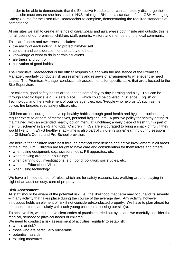In order to be able to demonstrate that the Executive Headteacher can completely discharge their duties, she must ensure she has suitable H&S training. LBN sets a standard of the IOSH Managing Safety Course for the Executive Headteacher to complete, demonstrating the required standards of competence.

At our sites we aim to create an ethos of *carefulness* and *awareness* both inside and outside, this is for all users of our premises: children, staff, parents, visitors and members of the local community.

This carefulness and awareness includes:

- the ability of each individual to protect him/her self
- concern and consideration for the safety of others
- knowledge of what to do in certain situations
- alertness and control
- cultivation of good habits

The Executive Headteacher is the officer responsible and with the assistance of the Premises Manager, regularly conducts risk assessments and reviews of arrangements whenever the need arises. The Premises Manager conducts risk assessments for specific tasks that are allocated to the Site Supervisor.

For children, good safety habits are taught as part of day-to-day learning and play. This can be through specific topics, e.g., 'A safe place…', which could be covered in Science, English or Technology, and the involvement of outside agencies, e.g. 'People who help us…', such as the police, fire brigade, road safety officer, etc.

Children are encouraged to develop healthy habits through good health and hygiene routines, e.g. regular exercise or care of themselves, personal hygiene, etc. A positive policy for healthy eating is maintained, with an extended healthy option menu at lunchtime; a daily piece of fresh fruit is part of the 'fruit scheme' in EYFS and KS1. Children in KS2 are encouraged to bring a snack of fruit if they would like to. In EYFS healthy snack-time is also part of children's *social* learning during sessions in the Children's Centre and Pre-School provision.

We believe that children learn best through practical experiences and active involvement in all areas of the curriculum. Children are taught to have care and consideration for themselves and others:

- when using equipment, e.g., scissors, tools, PE apparatus, etc.
- when moving around our buildings
- when carrying out investigations, e.g., pond, pollution, soil studies, etc.
- when on Educational Visits
- when using technology

We have a limited number of rules, which are for safety reasons, i.e., **walking** around, playing in sight of an adult on duty, care of property, etc.

### **Risk Assessment**

All staff should be aware of the potential risk, i.e., the likelihood that harm may occur and its severity – in any activity that takes place during the course of the average day. Any activity, however innocuous holds an element of risk if not considered/conducted properly. We have to plan ahead for the unexpected, particularly with such young children accessing our site(s).

To achieve this, we must have clear codes of practice carried out by all and we carefully consider the medical, sensory or physical needs of children.

We need to conduct a risk assessment of activities regularly to establish:

- who is at risk?
- those who are particularly vulnerable
- potential hazards
- existing measures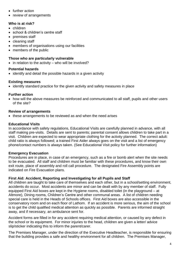- further action
- review of arrangements

## **Who is at risk?**

- children
- school & children's centre staff
- premises staff
- cleaning staff
- members of organisations using our facilities
- members of the public

## **Those who are particularly vulnerable**

 $\bullet$  in relation to the activity – who will be involved?

## **Potential hazards**

• identify and detail the possible hazards in a given activity

## **Existing measures**

identify standard practice for the given activity and safety measures in place

## **Further action**

 how will the above measures be reinforced and communicated to all staff, pupils and other users of the site?

## **Review of arrangements**

• these arrangements to be reviewed as and when the need arises

## **Educational Visits**

In accordance with safety regulations, Educational Visits are carefully planned in advance, with all staff making pre-visits. Details are sent to parents; parental consent allows children to take part in a visit. Children are expected to wear appropriate clothing for the activity planned. The correct adult: child ratio is always followed; a trained First Aider always goes on the visit and a list of emergency phone/contact numbers is always taken. (See Educational Visit policy for further information)

## **Emergency Evacuation**

Procedures are in place, in case of an emergency, such as a fire or bomb alert when the site needs to be evacuated. All staff and children must be familiar with these procedures, and know their own exit route, place of assembly and roll call procedure. The designated Fire Assembly points are indicated on Fire Evacuation plans.

## **First Aid: Accident, Reporting and Investigating for all Pupils and Staff**

All children are taught to take care of themselves and each other, but in a school/setting environment, accidents do occur. Most accidents are minor and can be dealt with by any member of staff. Fully equipped First Aid boxes are kept in the Hygiene rooms, disabled toilet (in the playground – at Altmore), Dining rooms, Children's Centre and other communal areas. A list of children needing special care is held in the Heads of Schools offices. First Aid boxes are also accessible in the conservatory room and on each floor of Lathom. If an accident is more serious, the aim of the school is to get the child qualified medical attention as quickly as possible. Parents are informed straight away, and if necessary, an ambulance sent for.

Accident forms are filled in for any accident requiring medical attention, or caused by any defect in the school or its equipment. For minor injuries to the head, children are given a letter/ advice slip/sticker indicating this to inform the parent/carer.

The Premises Manager, under the direction of the Executive Headteacher, is responsible for ensuring that the building provides a safe and healthy environment for all children. The Premises Manager,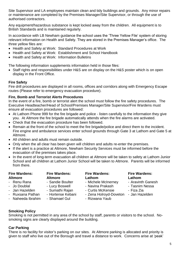Site Supervisor and LA employees maintain clean and tidy buildings and grounds. Any minor repairs or maintenance are completed by the Premises Manager/Site Supervisor, or through the use of authorised contractors.

Any equipment/hazardous substance is kept locked away from the children. All equipment is to British Standards and is maintained regularly.

In accordance with LB Newham guidance the school uses the 'Three Yellow File' system of storing relevant information on Health and Safety. They are stored in the Premises Manager's office. The three yellow files are:

- Health and Safety at Work: Standard Procedures at Work
- Health and Safety at Work: Establishment and School Handbook
- Health and Safety at Work: Information Bulletins

The following information supplements information held in those files:

 Staff rights and responsibilities under H&S are on display on the H&S poster which is on open display in the Front Office.

### **Fire Safety**

Fire drill procedures are displayed in all rooms, offices and corridors along with Emergency Escape routes (Please refer to emergency evacuation procedure).

#### **Fire, Bomb and Terrorist Alerts Procedures**

In the event of a fire, bomb or terrorist alert the school must follow the fire safety procedures. The Executive Headteacher/Head of School/Premises Manager/Site Supervisor/Fire Wardens must ensure all evacuation procedures are followed:

- At Lathom Phone 999 for the fire brigade and police listen carefully to the information they give you. At Altmore the fire brigade automatically attends when the fire alarms are activated.
- Check that the evacuation procedure has been followed.
- Remain at the front of the school to meet the fire brigade/police and direct them to the incident. Fire engine and ambulance services enter school grounds through Gate 3 at Lathom and Gate 5 at Altmore.
- All children and adults must remain outside.
- Only when the all clear has been given will children and adults re-enter the premises.
- If the alert is a practice at Altmore, Newham Security Services must be informed before the evacuation of the premises takes place.
- In the event of long-term evacuation all children at Altmore will be taken to safety at Lathom Junior School and all children at Lathom Junior School will be taken to Altmore. Parents will be informed from there.

#### **Fire Wardens: Altmore**

#### **Fire Wardens: Altmore** - Sandie Boulter

- Renu Rana
- Jo Doublal
- Jan Hazelden - Ruxsana Pathan
- Sumathi Rajan - Hortense Kebani
	- Shamael Gul

- Lucy Boswell

#### **Fire Wardens: Lathom**

- Michele McInerney
- Navina Prakash
- Curtis McKensie
- Zena Holroyd-Doveton Jan Hazelden
- Rizwana Yaub

**Fire Wardens: Lathom**

- Aravinth Ganesh
- Tasnim Nessa
- Fiza Zia
- 

- Naheeda Ibrahim

## **Smoking Policy**

Smoking is not permitted in any area of the school by staff, parents or visitors to the school. Nosmoking signs are clearly displayed around the building.

#### **Car Parking**

There is no facility for visitor's parking on our sites. At Altmore parking is allocated and priority is given to staff who live out of the Borough and travel a distance to work. Concerns arise at 'peak'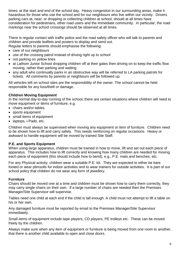times: at the start and end of the school day. Heavy congestion in our surrounding areas, make it hazardous for those who use the school and for our neighbours who live within our vicinity. Drivers parking cars at, near, or dropping or collecting children at school, should at all times have consideration for pedestrians, other road users and the immediate community. In particular, the road markings near the school crossings should be observed at all times.

There is regular contact with traffic police and the road safety officer who will talk to parents and children and provide leaflets and posters to display and send out. Regular letters to parents should emphasise the following:

- care of our neighbours
- use of the crossing patrol instead of driving right up to school
- not parking on yellow lines
- at Lathom Junior School dropping children off at their gates then driving on to keep the traffic flow moving, rather than parking and waiting
- any adult who continually parks in an obstructive way will be referred to LA parking patrols for tickets. All comments by parents or neighbours will be followed up.

All vehicles left on school sites are the responsibility of the owner. The school cannot be held responsible for any loss/theft or damage.

#### **Children Moving Equipment**

In the normal day-to-day running of the school, there are certain situations where children will need to move equipment or items of furniture, e.g.

- chairs and/or tables
- sports equipment
- small items of equipment
- laptops, i-Pads, etc.

Children must always be supervised when moving any equipment or item of furniture. Children need to be shown how to lift and carry safely. This needs reinforcing on regular occasions. Heavy or awkward to handle equipment will be moved by trained Site Staff.

#### **P.E. and Sports Equipment**

When using large apparatus, children must be trained in how to move, lift and set out each piece of apparatus. This includes how to lift correctly and knowing how many children are needed for moving each piece of equipment (this should include how to bend), e.g., P.E. mats and benches, etc.

For any Physical activity, children wear a suitable P.E. kit. They are expected to either be bare footed or wear plimsolls for indoor activities and to wear trainers for outside activities. It is part of our school policy that children do not wear any form of *jewellery*.

#### **Furniture**

Chairs should be moved one at a time and children must be shown how to carry them correctly, they may carry single chairs on their own. If a large number of chairs are needed then the Premises Manager/Site Supervisor will supervise.

Tables need one child at each end if the child is tall enough. A child must not attempt to lift a table on his or her own.

Any damaged furniture must be reported by email to the Premises Manager/Site Supervisor immediately.

Small items of equipment include tape players, CD players, PE trolleys etc. These can be moved freely by the children.

Always make sure when any item of equipment or furniture is being moved from one room to another, that there is another child available to open and close doors.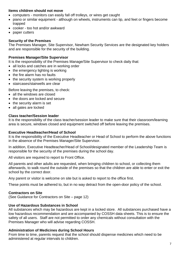#### **Items children should not move**

- computers monitors can easily fall off trolleys, or wires get caught
- piano or similar equipment although on wheels, instruments can tip, and feet or fingers become trapped
- cooker too hot and/or awkward
- paper cutters

#### **Security of the Premises**

The Premises Manager, Site Supervisor, Newham Security Services are the designated key holders and are responsible for the security of the building.

#### **Premises Manager/Site Supervisor**

It is the responsibility of the Premises Manage/Site Supervisor to check daily that:

- all locks and catches are in working order
- the emergency lighting is working
- the fire alarm has no faults
- the security system is working properly
- staircases/stairwells are clear

Before leaving the premises, to check:

- all the windows are closed
- the doors are locked and secure
- the security alarm is set
- all gates are locked

#### **Class teacher/Session leader**

It is the responsibility of the class teacher/session leader to make sure that their classroom/learning area is secure, windows closed and equipment switched off before leaving the premises.

#### **Executive Headteacher/Head of School**

It is the responsibility of the Executive Headteacher or Head of School to perform the above functions in the absence of the Premises Manager/Site Supervisor.

In addition, Executive Headteacher/Head of School/designated member of the Leadership Team is responsible for the security of the premises during the school day.

All visitors are required to report to Front Office.

All parents and other adults are requested, when bringing children to school, or collecting them afterwards, to walk round the outside of the premises so that the children are able to enter or exit the school by the correct door.

Any parent or visitor is welcome on site but is asked to report to the office first.

These points must be adhered to, but in no way detract from the open-door policy of the school.

### **Contractors on Site**

(See Guidance for Contractors on Site – page 12)

### **Use of Hazardous Substances in School**

All substances which may be hazardous are kept in a locked store. All substances purchased have a low hazardous recommendation and are accompanied by COSSH data sheets. This is to ensure the safety of all users. Staff are not permitted to order any chemicals without consultation with the Premises Manager who will advise regarding COSSH.

### **Administration of Medicines during School Hours**

From time to time, parents request that the school should dispense medicines which need to be administered at regular intervals to children.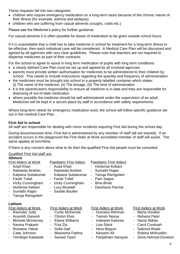These requests fall into two categories:

- children who require emergency medication on a long-term basis because of the chronic nature of their illness (for example, asthma and epilepsy)
- children who are suffering from casual ailments (coughs, colds etc.)

Please see the Medicine's policy for further guidance.

For casual ailments it is often possible for doses of medication to be given outside school hours.

If it is unavoidable that a child has to take medicine in school for treatment for a long-term illness to be effective, then each individual case will be considered. A Medical Care Plan will be discussed and agreed by all agencies with very clear guidelines. Please note that teachers are not required to dispense medicines as part of their contracts.

For the school to agree to assist in long term medication of pupils with long term conditions:

- a clearly defined Care Plan must be set up and agreed by all involved agencies
- parents must provide written authorisation for medicines to be administered to their children by school. This needs to include instructions regarding the quantity and frequency of administration.
- the medicines must be brought into school in a properly labelled container which states: (i) The name of the medicine, (ii) The dosage, (iii) The time of administration
- it is the parent/carers responsibility to ensure all medicine is in date and they are responsible for disposing of out-of-date medication
- where possible the medicine should be self-administered under the supervision of an adult. Medicines will be kept in a secure place by staff in accordance with safety requirements.

Where long-term needs for emergency medication exist, the school will follow specific guidance set out in the medical Care Plan.

## **First Aid in school**

All staff are responsible for dealing with minor incidents requiring First Aid during the school day.

During lesson/session time, First Aid is administered by any member of staff (all are trained). If an accident occurs in the playground the First Aider at Work accredited member of staff will assist. The same applies at lunchtime.

If there is any concern about what to do then the qualified First Aid people must be consulted.

#### Qualified First Aid staff are: **Altmore**

| <b>First Aiders at Work</b><br>- Azad Khan<br>Naheeda Ibrahim<br>$\overline{\phantom{a}}$<br>- Kalpana Subakumar<br>- Farah Tufail<br>- Vicky Cunningham<br>Hortense Kebani<br>$\overline{\phantom{a}}$<br>- Sumathi Rajan<br>- Tanuja Ramgolam                                                                            | <b>Paediatric First Aiders</b><br>Azad Khan<br>Naheeda Ibrahim<br>$\blacksquare$<br>Kalpana Subakumar<br>÷<br>- Farah Tufail<br>- Vicky Cunningham<br>- Lucy Boswell<br>- Sandie Boulter | <b>Paediatric First Aiders</b><br>Hortense Kebani<br>- Sumathi Rajan<br>Tanuja Ramgolam<br>$\sim$<br>Pam Sagoo<br>$\qquad \qquad \blacksquare$<br>- Bina Bhatt<br>Darshana Parmar<br>$\blacksquare$ |                                                                                                                                                                                                                    |
|----------------------------------------------------------------------------------------------------------------------------------------------------------------------------------------------------------------------------------------------------------------------------------------------------------------------------|------------------------------------------------------------------------------------------------------------------------------------------------------------------------------------------|-----------------------------------------------------------------------------------------------------------------------------------------------------------------------------------------------------|--------------------------------------------------------------------------------------------------------------------------------------------------------------------------------------------------------------------|
| Lathom<br><b>First Aiders at Work</b><br>- Ravinder Jutla<br><b>Aravinth Ganesh</b><br>$\overline{\phantom{a}}$<br>Michele McInerney<br>$\qquad \qquad \blacksquare$<br>Navina Prakash<br>$\qquad \qquad \blacksquare$<br>Rizwana Yakub<br>$\overline{\phantom{a}}$<br>Catty Johnson<br>۰<br><b>Temitope Kalawole</b><br>- | <b>First Aiders at Work</b><br>- Curtis McKenzie<br>- Clinton Elvis<br>- Elaine Williams<br>Fiza Zia<br>$\overline{\phantom{0}}$<br>- Sofia Dad<br>- Masooma Fatima<br>- Sarwat Yasin    | <b>First Aiders at Work</b><br>Humaira Rehman<br>- Tasnim Nessa<br>Inderjeet Katorea<br>Lisa Slack<br>Hera Begum<br>Nassem Ali<br>$\sim$<br>Parijatham Narayan                                      | <b>First Aiders at Work</b><br><b>Maria Houlker</b><br>$\sim$<br>- Rehana Patel<br>Nazia Abbas<br>$\sim$<br><b>Carol Conduah</b><br>Sabrina Wade<br>$\sim$<br>- Robina Mohiuddin<br>Zena Holroyd-Doveton<br>$\sim$ |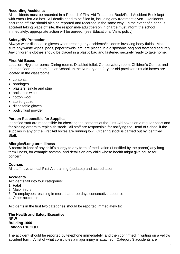### **Recording Accidents**

All accidents must be recorded in a Record of First Aid Treatment Book/Pupil Accident Book kept with each First Aid box. All details need to be filled in, including any treatment given. Accidents occurring off site should also be reported and recorded in the same way. In the event of a serious accident taking place off site, the responsible adult/person in charge must inform the school immediately, appropriate action will be agreed. (see Educational Visits policy)

## **Safety/HIV Protection**

Always wear disposable gloves when treating any accidents/incidents involving body fluids. Make sure any waste wipes, pads, paper towels, etc. are placed in a disposable bag and fastened securely. Any children's clothes should be placed in a plastic bag and fastened securely ready to take home.

## **First Aid Boxes**

Location: Hygiene rooms, Dining rooms, Disabled toilet, Conservatory room, Children's Centre, and on each floor at Lathom Junior School. In the Nursery and 2 -year-old provision first aid boxes are located in the classrooms.

- contents
- bandages
- plasters, single and strip
- antiseptic wipes
- cotton wool
- sterile gauze
- disposable gloves
- bodily fluid powder

#### **Person Responsible for Supplies**

Identified staff are responsible for checking the contents of the First Aid boxes on a regular basis and for placing orders to replenish stock. All staff are responsible for notifying the Head of School if the supplies in any of the First Aid boxes are running low. Ordering stock is carried out by identified Staff.

### **Allergies/Long term illness**

A record is kept of any child's allergy to any form of medication (if notified by the parent) any longterm illness, for example asthma, and details on any child whose health might give cause for concern.

#### **Courses**

All staff have annual First Aid training (updates) and accreditation

#### **Accidents**

Accidents fall into four categories:

- 1. Fatal
- 2. Major injury
- 3. To employees resulting in more that three days consecutive absence
- 4. Other accidents

Accidents in the first two categories should be reported immediately to:

#### **The Health and Safety Executive NPW Building 1000 London E16 2QU**

The accident should be reported by telephone immediately, and then confirmed in writing on a yellow accident form. A list of what constitutes a major injury is attached. Category 3 accidents are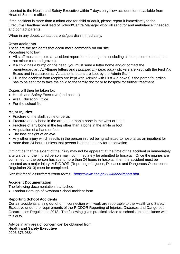reported to the Health and Safety Executive within 7 days on yellow accident form available from Head of School's office.

If the accident is more than a minor one for child or adult, please report it immediately to the Executive Headteacher/Head of School/Centre Manager who will send for and ambulance if needed and contact parents.

When in any doubt, contact parents/guardian immediately.

## **Other accidents**

These are the accidents that occur more commonly on our site.

Procedure to follow:

- All staff must complete an accident report for minor injuries (including all bumps on the head, but not minor cuts and grazes).
- If a child has a bump on the head, you must send a letter home and/or contact the parent/guardian. At Altmore letters and *I bumped my head today* stickers are kept with the First Aid Boxes and in classrooms. At Lathom, letters are kept by the Admin Staff.
- Fill in the accident form (copies are kept with Admin/ with First Aid boxes) if the parent/guardian has to be sent for to take the child to the family doctor or to hospital for further treatment.

Copies will then be taken for:

- Health and Safety Executive (and posted)
- Area Education Office
- For the school file

## **Major Injuries**

- Fracture of the skull, spine or pelvis
- Fracture of any bone in the arm other than a bone in the wrist or hand
- Fracture of any bone in the leg other than a bone in the ankle or foot
- Amputation of a hand or foot
- The loss of sight of an eye
- Any other injury which results in the person injured being admitted to hospital as an inpatient for
- more than 24 hours, unless that person is detained only for observation

It might be that the extent of the injury may not be apparent at the time of the accident or immediately afterwards, or the injured person may not immediately be admitted to hospital. Once the injuries are confirmed, or the person has spent more than 24 hours in hospital, then the accident must be reported as a major injury. A RIDDOR (Reporting of Injuries, Diseases and Dangerous Occurrences Regulation 2013) must be completed.

*See link for all associated report forms: <https://www.hse.gov.uk/riddor/report.htm>*

## **Accident Documentation**

The following documentation is attached:

London Borough of Newham School Incident form

## **Reporting School Accidents**

Certain accidents arising out of or in connection with work are reportable to the Health and Safety Executive under the requirements of the RIDDOR Reporting of Injuries, Diseases and Dangerous Occurrences Regulations 2013. The following gives practical advice to schools on compliance with this duty.

Advice in any area of concern can be obtained from: **Health and Safety Executive**  0203 373 9884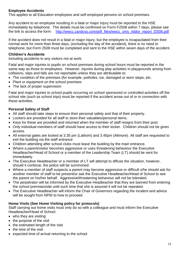## **Employee Accidents**

This applies to all Education employees and self-employed persons on school premises.

Any accident to an employee resulting in a fatal or major injury must be reported to the HSE immediately by telephone. The details must be confirmed on Form F2508 within 7 days, please see the link to access the form: [http://wwcc.candcss.com/pdf\\_files/wwcc\\_sms\\_riddor\\_report\\_f2508.pdf](http://wwcc.candcss.com/pdf_files/wwcc_sms_riddor_report_f2508.pdf)

If the accident does not result in a fatal or major injury, but the employee is incapacitated from their normal work for more than three days, (excluding the day of the accident), there is no need to telephone; but Form 2508 must be completed and sent to the HSE within seven days of the accident.

## **Children's Accidents**

Including accidents to any visitors not at work.

Fatal and major injuries to pupils on school premises during school hours must be reported in the same way as those to employees. However, injuries during play activities in playgrounds arising from collisions, slips and falls are not reportable unless they are attributable to:

- The condition of the premises (for example, potholes, ice, damaged or worn steps, etc.
- Plant or equipment on the school premises
- The lack of proper supervision

Fatal and major injuries to school pupils occurring on school sponsored or controlled activities off the school site (such as school trips) must be reported if the accident arose out of or in connection with these activities.

## **Personal Safety of Staff**

- All staff should take steps to ensure their personal safety and that of their property.
- Lockers are provided for all staff to store their valuables/personal items.
- Keys for these are provided and returned when the member of staff resigns from their post.
- Only individual members of staff should have access to their locker. Children should not be given access.
- All external gates are locked at 3.35 pm (Lathom) and 3.45pm (Altmore). All staff are requested to exit the building via the staff entrance
- Children attending after school clubs must leave the building by the main entrance.
- Where a parent/visitor becomes aggressive or uses threatening behaviour the Executive Headteacher/Head of School or a member of the Leadership Team (LT) should be sent for immediately.
- The Executive Headteacher or a member of LT will attempt to diffuse the situation, however, should it continue, the police will be summoned.
- Where a member of staff suspects a parent may become aggressive or difficult s/he should ask for another member of staff to be present/or ask the Executive Headteacher/Head of School to see the parent on his/her behalf. Aggressive/threatening behaviour will not be tolerated.
- The perpetrator will be informed by the Executive Headteacher that they are banned from entering the school premises/site until such time that she is assured it will not be repeated.
- The Executive Headteacher will inform the Chair of Governors regarding the incident and advice will be sought from NPW to how to proceed.

### **Home Visits (See Home Visiting policy for protocols)**

Staff carrying out home visits must only do so with a colleague and must inform the Executive Headteacher/Head of School:

- who they are visiting
- $\bullet$  the purpose of the visit
- $\bullet$  the estimated length of the visit
- $\bullet$  the time of the visit
- expected time of arrival returning to the school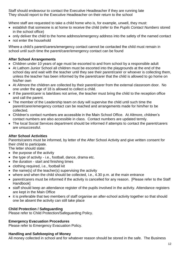Staff should endeavour to contact the Executive Headteacher if they are running late They should report to the Executive Headteacher on their return to the school

Where staff are requested to take a child home who is, for example, unwell, they must:

- establish that someone is at home to receive the child (refer to the *Pupils Contact Numbers* stored in the school office)
- only deliver the child to the home address/emergency address into the safety of the named contact
- not enter the household

Where a child's parent/carers/emergency contact cannot be contacted the child must remain in school until such time the parent/carer/emergency contact can be found

## **After School Arrangements**

- Children under 10 years of age must be escorted to and from school by a responsible adult
- At Lathom Junior School all children must be escorted into the playgrounds at the end of the school day and wait with the teacher until they see their parent/carer or whoever is collecting them, unless the teacher has been informed by the parent/carer that the child is allowed to go home on his/her own
- At Altmore the children are collected by their parent/carer from the external classroom door. No one under the age of 18 is allowed to collect a child.
- If the parent/carer is late/does not arrive, the teacher must bring the child to the reception office and call the parent.
- The member of the Leadership team on duty will supervise the child until such time the parent/carer/emergency contact can be reached and arrangements made for him/her to be collected.
- Children's contact numbers are accessible in the Main School Office. At Altmore, children's contact numbers are also accessible in class. Contact numbers are updated termly.
- The local Social Services department should be informed if attempts to contact the parent/carers are unsuccessful.

## **After School Activities**

Parents/carers must be informed, by letter of the After School Activity and give written consent for their child to participate.

The letter should state:

- $\bullet$  the purpose of the activity
- the type of activity i.e., football, dance, drama etc.
- the duration start and finishing times
- clothing required, i.e., football kit
- $\bullet$  the name(s) of the teacher(s) supervising the activity
- where and when the child should be collected, i.e., 4.30 p.m. at the main entrance
- parent/carers must be informed if the activity is cancelled for any reason. [Please refer to the Staff Handbook]
- staff should keep an attendance register of the pupils involved in the activity. Attendance registers are kept in the Main Office
- it is preferable that two members of staff organise an after-school activity together so that should one be absent the activity can still take place

### **Child Protection / Safeguarding**

Please refer to Child Protection/Safeguarding Policy.

### **Emergency Evacuation Procedures**

Please refer to Emergency Evacuation Policy.

#### **Handling and Safekeeping of Money**

All money collected in school and for whatever reason should be stored in the safe. The Business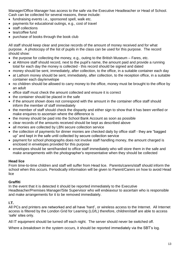Manager/Office Manager has access to the safe via the Executive Headteacher or Head of School. Cash can be collected for several reasons, these include:

- fundraising events i.e., sponsored spell, walk etc.
- payments for educational outings, e.g., cost of travel
- staff collections
- tea/coffee fund
- purchase of books through the book club

All staff should keep clear and precise records of the amount of money received and for what purpose. A photocopy of the list of pupils in the class can be used for this purpose. The record should show:

- $\bullet$  the purpose for collecting the money, e.g., outing to the British Museum Fares, etc.
- at Altmore staff should record, next to the pupil's name, the amount paid and provide a running total for each day the money is collected - this record should be signed and dated
- money should be sent, immediately, after collection, to the office, in a suitable container each day
- at Lathom money should be sent, immediately, after collection, to the reception office, in a suitable container each day/envelope
- no children should be allowed to carry money to the office, money must be brought to the office by an adult
- office staff must check the amount collected and ensure it is correct
- the container should be placed in the safe
- if the amount shown does not correspond with the amount in the container office staff should inform the member of staff immediately
- the member of staff should check the disparity and either sign to show that it has been verified or make enquires to ascertain where the difference is
- the money should be paid into the School Bank Account as soon as possible
- clear records of the amounts received should be kept as described above
- all monies are collected by LBN secure collection service
- the collection of payments for dinner monies are checked daily by office staff they are "bagged" up" and kept in the safe until collected by secure collection service
- payment for school photographs does not involve staff handling money, the amount charged is enclosed in envelopes provided for this purpose
- envelopes should be sent/handed to office staff immediately who will store them in the safe and make arrangements with the photographer's representative when they should be collected

#### **Head lice**

From time-to-time children and staff will suffer from Head lice. Parents/carers/staff should inform the school when this occurs. Periodically information will be given to Parent/Carers on how to avoid Head lice

#### **Graffiti**

In the event that it is detected it should be reported immediately to the Executive Headteacher/Premises Manager/Site Supervisor who will endeavour to ascertain who is responsible and make arrangements for it to be removed immediately.

### **I.T.**

All PCs and printers are networked and all have 'hard', or wireless access to the Internet. All Internet access is filtered by the London Grid for Learning (LGfL) therefore, children/staff are able to access 'safe' sites only.

All IT equipment should be turned off each night. The server should never be switched off.

Where a *breakdown* in the system occurs, it should be reported immediately via the SBT's log.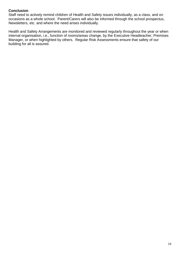## **Conclusion**

Staff need to actively remind children of Health and Safety issues individually, as a class, and on occasions as a whole school. Parent/Carers will also be informed through the school prospectus, Newsletters, etc. and where the need arises individually.

Health and Safety Arrangements are monitored and reviewed regularly throughout the year or when internal organisation, i.e., function of rooms/areas change, by the Executive Headteacher, Premises Manager, or when highlighted by others. Regular Risk Assessments ensure that safety of our building for all is assured.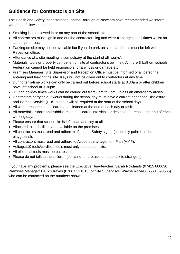## **Guidance for Contractors on Site**

The Health and Safety Inspectors for London Borough of Newham have recommended we inform you of the following points:

- Smoking is not allowed in or on any part of the school site.
- All contractors must sign in and out the contractors log and wear ID badges at all times whilst on school premises.
- Parking on site may not be available but if you do park on site, car details must be left with Reception office.
- Attendance at a site meeting is compulsory at the start of all 'works'.
- Materials, tools or property can be left on site at contractor's own risk. Altmore & Lathom schools Federation cannot be held responsible for any loss or damage etc.
- Premises Manager, Site Supervisor and Reception Office must be informed of all personnel entering and leaving the site. Keys will not be given out to contractors at any time.
- During term-time works can only be carried out before school starts at 8.30am or after children have left school at 3.30pm.
- During holiday times works can be carried out from 8am to 5pm, unless an emergency arises.
- Contractors carrying out works during the school day must have a current enhanced Disclosure and Barring Service (DBS number will be required at the start of the school day).
- All work areas must be cleared and cleaned at the end of each day or task.
- All materials, rubble and rubbish must be cleared into skips or designated areas at the end of each working day.
- Please ensure that school site is left clean and tidy at all times.
- Allocated toilet facilities are available on the premises.
- All contractors must read and adhere to Fire and Safety signs–(assembly point is in the playground).
- All contractors must read and adhere to Asbestos management Plan (AMP).
- Voltage110 tools/cordless tools must only be used on site.
- All electrical tools must be pat tested.
- Please do not talk to the children (our children are asked not to talk to strangers)

If you have any problems, please see the Executive Headteacher: Sarah Rowlands (07415 800030) Premises Manager: David Graves (07801 321813) or Site Supervisor: Wayne Rozee (07921 693565) who can be contacted on the numbers shown.